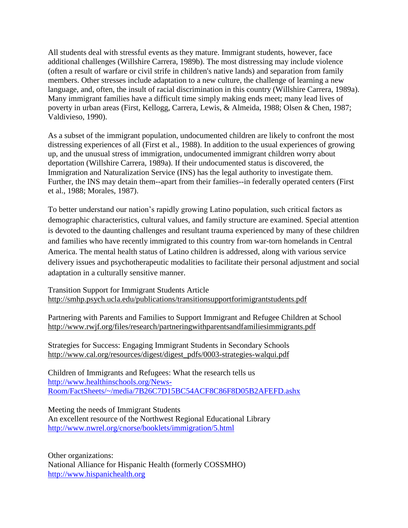All students deal with stressful events as they mature. Immigrant students, however, face additional challenges (Willshire Carrera, 1989b). The most distressing may include violence (often a result of warfare or civil strife in children's native lands) and separation from family members. Other stresses include adaptation to a new culture, the challenge of learning a new language, and, often, the insult of racial discrimination in this country (Willshire Carrera, 1989a). Many immigrant families have a difficult time simply making ends meet; many lead lives of poverty in urban areas (First, Kellogg, Carrera, Lewis, & Almeida, 1988; Olsen & Chen, 1987; Valdivieso, 1990).

As a subset of the immigrant population, undocumented children are likely to confront the most distressing experiences of all (First et al., 1988). In addition to the usual experiences of growing up, and the unusual stress of immigration, undocumented immigrant children worry about deportation (Willshire Carrera, 1989a). If their undocumented status is discovered, the Immigration and Naturalization Service (INS) has the legal authority to investigate them. Further, the INS may detain them--apart from their families--in federally operated centers (First et al., 1988; Morales, 1987).

To better understand our nation's rapidly growing Latino population, such critical factors as demographic characteristics, cultural values, and family structure are examined. Special attention is devoted to the daunting challenges and resultant trauma experienced by many of these children and families who have recently immigrated to this country from war-torn homelands in Central America. The mental health status of Latino children is addressed, along with various service delivery issues and psychotherapeutic modalities to facilitate their personal adjustment and social adaptation in a culturally sensitive manner.

Transition Support for Immigrant Students Article <http://smhp.psych.ucla.edu/publications/transitionsupportforimigrantstudents.pdf>

Partnering with Parents and Families to Support Immigrant and Refugee Children at School <http://www.rwjf.org/files/research/partneringwithparentsandfamiliesimmigrants.pdf>

Strategies for Success: Engaging Immigrant Students in Secondary Schools [http://www.cal.org/resources/digest/digest\\_pdfs/0003-strategies-walqui.pdf](http://www.cal.org/resources/digest/digest_pdfs/0003-strategies-walqui.pdf)

Children of Immigrants and Refugees: What the research tells us [http://www.healthinschools.org/News-](http://www.healthinschools.org/News-Room/FactSheets/~/media/7B26C7D15BC54ACF8C86F8D05B2AFEFD.ashx)[Room/FactSheets/~/media/7B26C7D15BC54ACF8C86F8D05B2AFEFD.ashx](http://www.healthinschools.org/News-Room/FactSheets/~/media/7B26C7D15BC54ACF8C86F8D05B2AFEFD.ashx)

Meeting the needs of Immigrant Students

An excellent resource of the Northwest Regional Educational Library <http://www.nwrel.org/cnorse/booklets/immigration/5.html>

Other organizations: National Alliance for Hispanic Health (formerly COSSMHO) [http://www.hispanichealth.org](http://www.hispanichealth.org/)